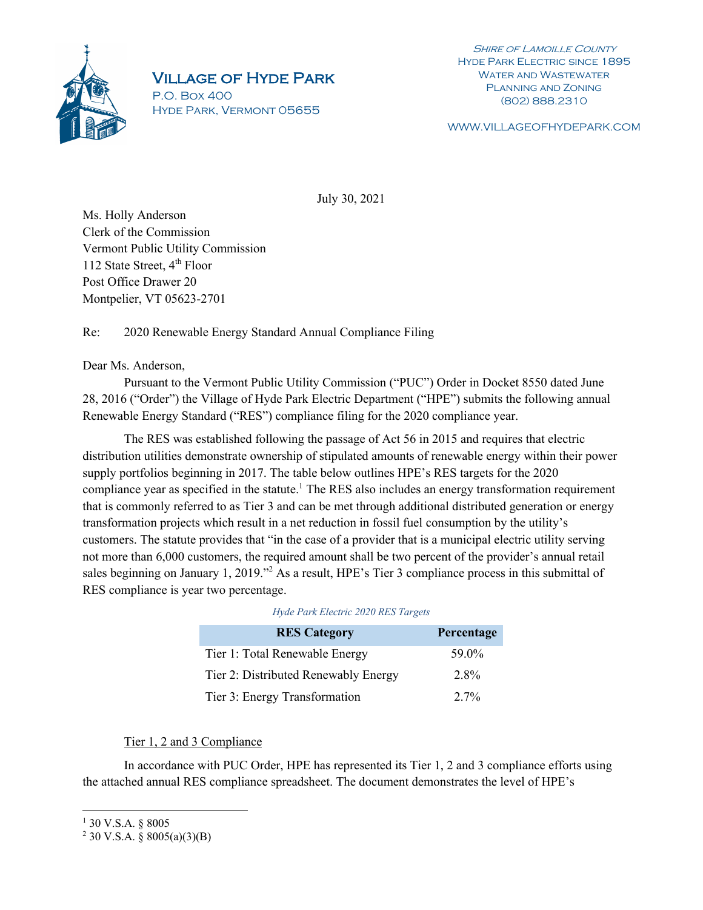

## Village of Hyde Park

P.O. Box 400 Hyde Park, Vermont 05655

**SHIRE OF LAMOILLE COUNTY** Hyde Park Electric since 1895 WATER AND WASTEWATER Planning and Zoning (802) 888.2310

WWW.VILLAGEOFHYDEPARK.COM

July 30, 2021

Ms. Holly Anderson Clerk of the Commission Vermont Public Utility Commission 112 State Street, 4<sup>th</sup> Floor Post Office Drawer 20 Montpelier, VT 05623-2701

Re: 2020 Renewable Energy Standard Annual Compliance Filing

## Dear Ms. Anderson,

Pursuant to the Vermont Public Utility Commission ("PUC") Order in Docket 8550 dated June 28, 2016 ("Order") the Village of Hyde Park Electric Department ("HPE") submits the following annual Renewable Energy Standard ("RES") compliance filing for the 2020 compliance year.

The RES was established following the passage of Act 56 in 2015 and requires that electric distribution utilities demonstrate ownership of stipulated amounts of renewable energy within their power supply portfolios beginning in 2017. The table below outlines HPE's RES targets for the 2020 compliance year as specified in the statute.<sup>1</sup> The RES also includes an energy transformation requirement that is commonly referred to as Tier 3 and can be met through additional distributed generation or energy transformation projects which result in a net reduction in fossil fuel consumption by the utility's customers. The statute provides that "in the case of a provider that is a municipal electric utility serving not more than 6,000 customers, the required amount shall be two percent of the provider's annual retail sales beginning on January 1, 2019."<sup>2</sup> As a result, HPE's Tier 3 compliance process in this submittal of RES compliance is year two percentage.

| <b>RES Category</b>                  | Percentage |
|--------------------------------------|------------|
| Tier 1: Total Renewable Energy       | 59.0%      |
| Tier 2: Distributed Renewably Energy | 2.8%       |
| Tier 3: Energy Transformation        | $2.7\%$    |

| Hyde Park Electric 2020 RES Targets |  |  |
|-------------------------------------|--|--|
|-------------------------------------|--|--|

## Tier 1, 2 and 3 Compliance

In accordance with PUC Order, HPE has represented its Tier 1, 2 and 3 compliance efforts using the attached annual RES compliance spreadsheet. The document demonstrates the level of HPE's

<sup>1</sup> 30 V.S.A. § 8005

 $2$  30 V.S.A. § 8005(a)(3)(B)